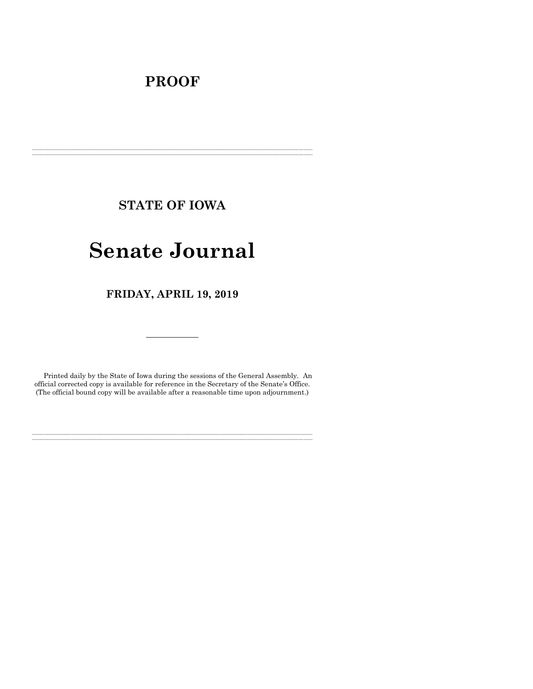## **PROOF**

**STATE OF IOWA**

**\_\_\_\_\_\_\_\_\_\_\_\_\_\_\_\_\_\_\_\_\_\_\_\_\_\_\_\_\_\_\_\_\_\_\_\_\_\_\_\_\_\_\_\_\_\_\_\_\_\_\_\_\_\_\_\_\_\_\_\_\_\_\_\_\_\_\_\_\_\_\_\_\_\_\_\_\_\_\_\_\_\_\_\_\_\_\_\_\_\_\_\_\_\_\_\_\_\_\_\_\_\_\_\_\_\_\_\_\_\_\_\_\_\_\_\_\_\_\_\_\_\_\_\_\_\_\_\_\_ \_\_\_\_\_\_\_\_\_\_\_\_\_\_\_\_\_\_\_\_\_\_\_\_\_\_\_\_\_\_\_\_\_\_\_\_\_\_\_\_\_\_\_\_\_\_\_\_\_\_\_\_\_\_\_\_\_\_\_\_\_\_\_\_\_\_\_\_\_\_\_\_\_\_\_\_\_\_\_\_\_\_\_\_\_\_\_\_\_\_\_\_\_\_\_\_\_\_\_\_\_\_\_\_\_\_\_\_\_\_\_\_\_\_\_\_\_\_\_\_\_\_\_\_\_\_\_\_\_**

# **Senate Journal**

**FRIDAY, APRIL 19, 2019**

Printed daily by the State of Iowa during the sessions of the General Assembly. An official corrected copy is available for reference in the Secretary of the Senate's Office. (The official bound copy will be available after a reasonable time upon adjournment.)

**\_\_\_\_\_\_\_\_\_\_\_\_\_\_\_\_\_\_\_\_\_\_\_\_\_\_\_\_\_\_\_\_\_\_\_\_\_\_\_\_\_\_\_\_\_\_\_\_\_\_\_\_\_\_\_\_\_\_\_\_\_\_\_\_\_\_\_\_\_\_\_\_\_\_\_\_\_\_\_\_\_\_\_\_\_\_\_\_\_\_\_\_\_\_\_\_\_\_\_\_\_\_\_\_\_\_\_\_\_\_\_\_\_\_\_\_\_\_\_\_\_\_\_\_\_\_\_\_\_ \_\_\_\_\_\_\_\_\_\_\_\_\_\_\_\_\_\_\_\_\_\_\_\_\_\_\_\_\_\_\_\_\_\_\_\_\_\_\_\_\_\_\_\_\_\_\_\_\_\_\_\_\_\_\_\_\_\_\_\_\_\_\_\_\_\_\_\_\_\_\_\_\_\_\_\_\_\_\_\_\_\_\_\_\_\_\_\_\_\_\_\_\_\_\_\_\_\_\_\_\_\_\_\_\_\_\_\_\_\_\_\_\_\_\_\_\_\_\_\_\_\_\_\_\_\_\_\_\_**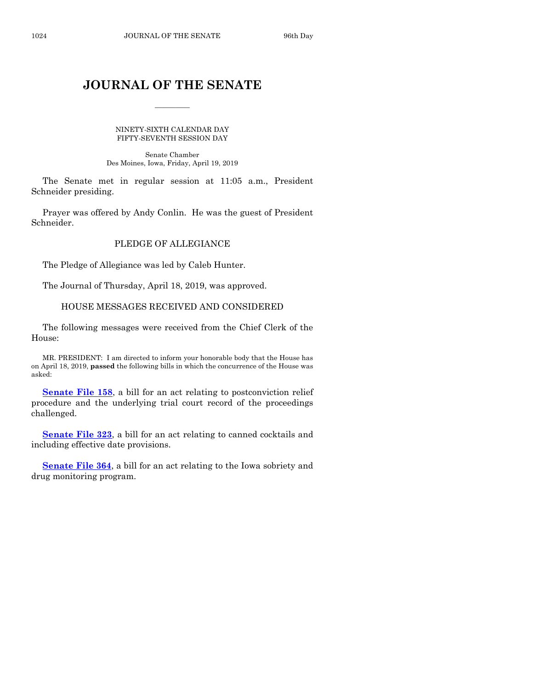### **JOURNAL OF THE SENATE**

 $\frac{1}{2}$ 

NINETY-SIXTH CALENDAR DAY FIFTY-SEVENTH SESSION DAY

Senate Chamber Des Moines, Iowa, Friday, April 19, 2019

The Senate met in regular session at 11:05 a.m., President Schneider presiding.

Prayer was offered by Andy Conlin. He was the guest of President Schneider.

#### PLEDGE OF ALLEGIANCE

The Pledge of Allegiance was led by Caleb Hunter.

The Journal of Thursday, April 18, 2019, was approved.

#### HOUSE MESSAGES RECEIVED AND CONSIDERED

The following messages were received from the Chief Clerk of the House:

MR. PRESIDENT: I am directed to inform your honorable body that the House has on April 18, 2019, **passed** the following bills in which the concurrence of the House was asked:

**[Senate File 158](https://www.legis.iowa.gov/legislation/BillBook?ga=88&ba=SF158)**, a bill for an act relating to postconviction relief procedure and the underlying trial court record of the proceedings challenged.

**[Senate File 323](https://www.legis.iowa.gov/legislation/BillBook?ga=88&ba=SF323)**, a bill for an act relating to canned cocktails and including effective date provisions.

**[Senate File 364](https://www.legis.iowa.gov/legislation/BillBook?ga=88&ba=SF364)**, a bill for an act relating to the Iowa sobriety and drug monitoring program.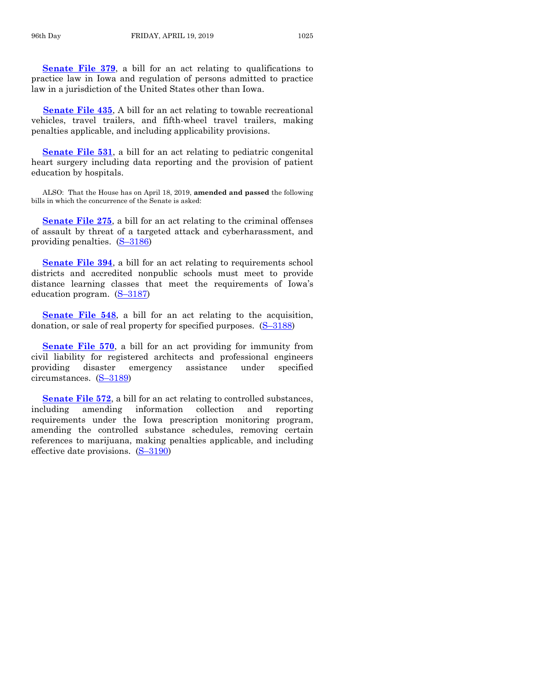**[Senate File 379](https://www.legis.iowa.gov/legislation/BillBook?ga=88&ba=SF379)**, a bill for an act relating to qualifications to practice law in Iowa and regulation of persons admitted to practice law in a jurisdiction of the United States other than Iowa.

**[Senate File 435](https://www.legis.iowa.gov/legislation/BillBook?ga=88&ba=SF435)**, A bill for an act relating to towable recreational vehicles, travel trailers, and fifth-wheel travel trailers, making penalties applicable, and including applicability provisions.

**[Senate File 531](https://www.legis.iowa.gov/legislation/BillBook?ga=88&ba=SF531)**, a bill for an act relating to pediatric congenital heart surgery including data reporting and the provision of patient education by hospitals.

ALSO: That the House has on April 18, 2019, **amended and passed** the following bills in which the concurrence of the Senate is asked:

**[Senate File 275](https://www.legis.iowa.gov/legislation/BillBook?ga=88&ba=SF275)**, a bill for an act relating to the criminal offenses of assault by threat of a targeted attack and cyberharassment, and providing penalties. (S–[3186\)](https://www.legis.iowa.gov/legislation/BillBook?ga=88&ba=S3186)

**[Senate File 394](https://www.legis.iowa.gov/legislation/BillBook?ga=88&ba=SF394)**, a bill for an act relating to requirements school districts and accredited nonpublic schools must meet to provide distance learning classes that meet the requirements of Iowa's education program. (S–[3187\)](https://www.legis.iowa.gov/legislation/BillBook?ga=88&ba=S3187)

**[Senate File 548](https://www.legis.iowa.gov/legislation/BillBook?ga=88&ba=SF548)**, a bill for an act relating to the acquisition, donation, or sale of real property for specified purposes.  $(S-3188)$  $(S-3188)$ 

**[Senate File 570](https://www.legis.iowa.gov/legislation/BillBook?ga=88&ba=SF570)**, a bill for an act providing for immunity from civil liability for registered architects and professional engineers providing disaster emergency assistance under specified circumstances. (S–[3189\)](https://www.legis.iowa.gov/legislation/BillBook?ga=88&ba=S3189)

**[Senate File 572](https://www.legis.iowa.gov/legislation/BillBook?ga=88&ba=SF572)**, a bill for an act relating to controlled substances, including amending information collection and reporting requirements under the Iowa prescription monitoring program, amending the controlled substance schedules, removing certain references to marijuana, making penalties applicable, and including effective date provisions. (S–[3190\)](https://www.legis.iowa.gov/legislation/BillBook?ga=88&ba=S3190)